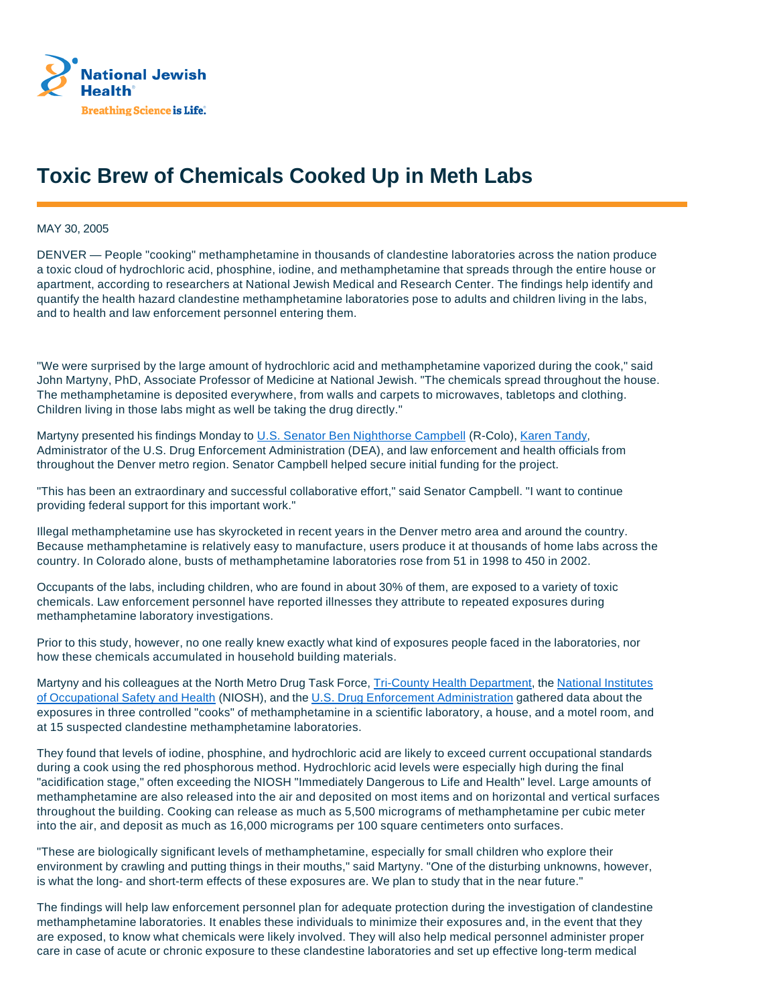

## **Toxic Brew of Chemicals Cooked Up in Meth Labs**

MAY 30, 2005

DENVER — People "cooking" methamphetamine in thousands of clandestine laboratories across the nation produce a toxic cloud of hydrochloric acid, phosphine, iodine, and methamphetamine that spreads through the entire house or apartment, according to researchers at National Jewish Medical and Research Center. The findings help identify and quantify the health hazard clandestine methamphetamine laboratories pose to adults and children living in the labs, and to health and law enforcement personnel entering them.

"We were surprised by the large amount of hydrochloric acid and methamphetamine vaporized during the cook," said John Martyny, PhD, Associate Professor of Medicine at National Jewish. "The chemicals spread throughout the house. The methamphetamine is deposited everywhere, from walls and carpets to microwaves, tabletops and clothing. Children living in those labs might as well be taking the drug directly."

Martyny presented his findings Monday to U.S. Senator Ben Nighthorse Campbell (R-Colo), Karen Tandy, Administrator of the U.S. Drug Enforcement Administration (DEA), and law enforcement and health officials from throughout the Denver metro region. Senator Campbell helped secure initial funding for the project.

"This has been an extraordinary and successful collaborative effort," said Senator Campbell. "I want to continue providing federal support for this important work."

Illegal methamphetamine use has skyrocketed in recent years in the Denver metro area and around the country. Because methamphetamine is relatively easy to manufacture, users produce it at thousands of home labs across the country. In Colorado alone, busts of methamphetamine laboratories rose from 51 in 1998 to 450 in 2002.

Occupants of the labs, including children, who are found in about 30% of them, are exposed to a variety of toxic chemicals. Law enforcement personnel have reported illnesses they attribute to repeated exposures during methamphetamine laboratory investigations.

Prior to this study, however, no one really knew exactly what kind of exposures people faced in the laboratories, nor how these chemicals accumulated in household building materials.

Martyny and his colleagues at the North Metro Drug Task Force, Tri-County Health Department, the National Institutes of Occupational Safety and Health (NIOSH), and the U.S. Drug Enforcement Administration gathered data about the exposures in three controlled "cooks" of methamphetamine in a scientific laboratory, a house, and a motel room, and at 15 suspected clandestine methamphetamine laboratories.

They found that levels of iodine, phosphine, and hydrochloric acid are likely to exceed current occupational standards during a cook using the red phosphorous method. Hydrochloric acid levels were especially high during the final "acidification stage," often exceeding the NIOSH "Immediately Dangerous to Life and Health" level. Large amounts of methamphetamine are also released into the air and deposited on most items and on horizontal and vertical surfaces throughout the building. Cooking can release as much as 5,500 micrograms of methamphetamine per cubic meter into the air, and deposit as much as 16,000 micrograms per 100 square centimeters onto surfaces.

"These are biologically significant levels of methamphetamine, especially for small children who explore their environment by crawling and putting things in their mouths," said Martyny. "One of the disturbing unknowns, however, is what the long- and short-term effects of these exposures are. We plan to study that in the near future."

The findings will help law enforcement personnel plan for adequate protection during the investigation of clandestine methamphetamine laboratories. It enables these individuals to minimize their exposures and, in the event that they are exposed, to know what chemicals were likely involved. They will also help medical personnel administer proper care in case of acute or chronic exposure to these clandestine laboratories and set up effective long-term medical